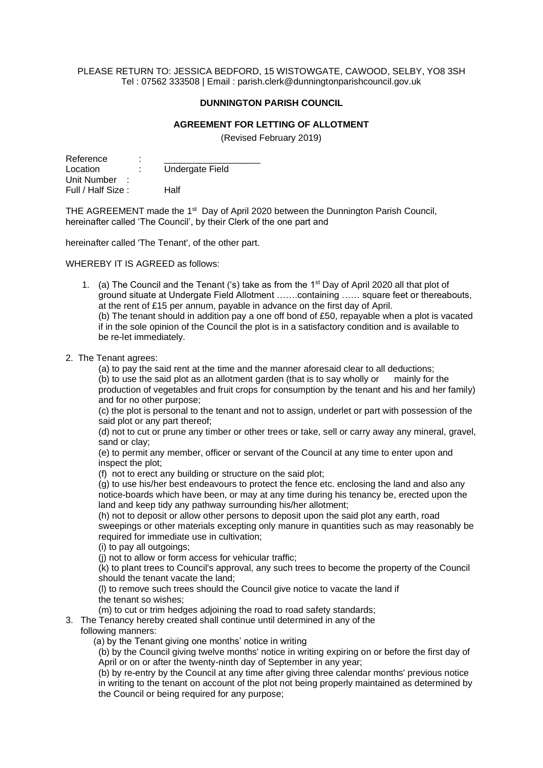## PLEASE RETURN TO: JESSICA BEDFORD, 15 WISTOWGATE, CAWOOD, SELBY, YO8 3SH Tel : 07562 333508 | Email : parish.clerk@dunningtonparishcouncil.gov.uk

## **DUNNINGTON PARISH COUNCIL**

## **AGREEMENT FOR LETTING OF ALLOTMENT**

(Revised February 2019)

| Reference         | ٠<br>ä, |                 |
|-------------------|---------|-----------------|
| Location          | ÷       | Undergate Field |
| Unit Number       |         |                 |
| Full / Half Size: |         | Half            |

THE AGREEMENT made the 1<sup>st</sup> Day of April 2020 between the Dunnington Parish Council, hereinafter called 'The Council', by their Clerk of the one part and

hereinafter called 'The Tenant', of the other part.

WHEREBY IT IS AGREED as follows:

- 1. (a) The Council and the Tenant ('s) take as from the  $1<sup>st</sup>$  Day of April 2020 all that plot of ground situate at Undergate Field Allotment …….containing …… square feet or thereabouts, at the rent of £15 per annum, payable in advance on the first day of April. (b) The tenant should in addition pay a one off bond of £50, repayable when a plot is vacated if in the sole opinion of the Council the plot is in a satisfactory condition and is available to be re-let immediately.
- 2. The Tenant agrees:

(a) to pay the said rent at the time and the manner aforesaid clear to all deductions;

(b) to use the said plot as an allotment garden (that is to say wholly or mainly for the production of vegetables and fruit crops for consumption by the tenant and his and her family) and for no other purpose;

(c) the plot is personal to the tenant and not to assign, underlet or part with possession of the said plot or any part thereof;

(d) not to cut or prune any timber or other trees or take, sell or carry away any mineral, gravel, sand or clay;

(e) to permit any member, officer or servant of the Council at any time to enter upon and inspect the plot;

(f) not to erect any building or structure on the said plot;

(g) to use his/her best endeavours to protect the fence etc. enclosing the land and also any notice-boards which have been, or may at any time during his tenancy be, erected upon the land and keep tidy any pathway surrounding his/her allotment;

(h) not to deposit or allow other persons to deposit upon the said plot any earth, road sweepings or other materials excepting only manure in quantities such as may reasonably be required for immediate use in cultivation;

(i) to pay all outgoings;

(j) not to allow or form access for vehicular traffic;

(k) to plant trees to Council's approval, any such trees to become the property of the Council should the tenant vacate the land;

(l) to remove such trees should the Council give notice to vacate the land if the tenant so wishes;

(m) to cut or trim hedges adjoining the road to road safety standards;

3. The Tenancy hereby created shall continue until determined in any of the following manners:

(a) by the Tenant giving one months' notice in writing

(b) by the Council giving twelve months' notice in writing expiring on or before the first day of April or on or after the twenty-ninth day of September in any year;

(b) by re-entry by the Council at any time after giving three calendar months' previous notice in writing to the tenant on account of the plot not being properly maintained as determined by the Council or being required for any purpose;